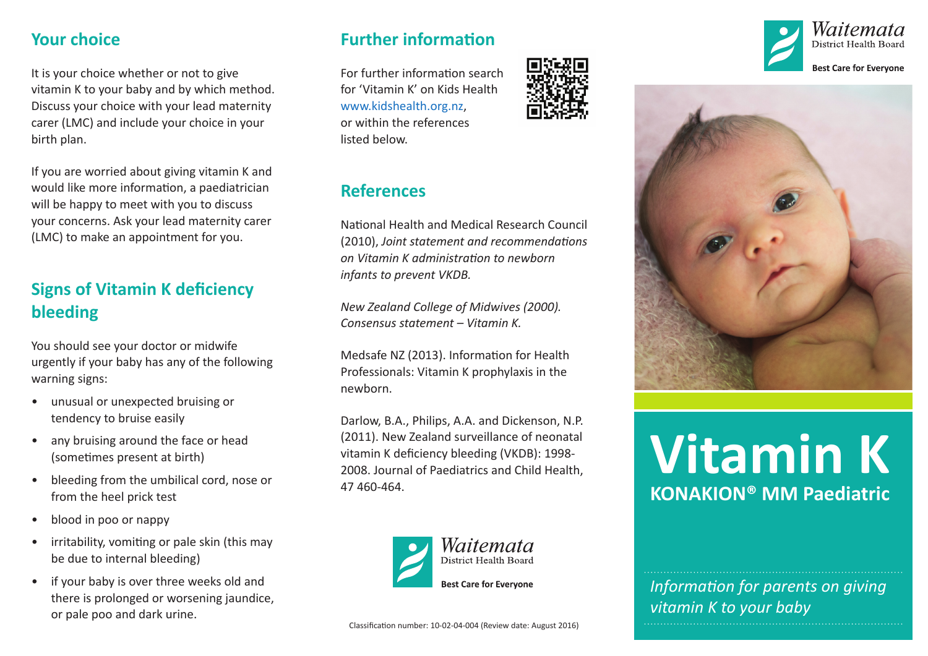#### **Your choice**

It is your choice whether or not to give vitamin K to your baby and by which method. Discuss your choice with your lead maternity carer (LMC) and include your choice in your birth plan.

If you are worried about giving vitamin K and would like more information, a paediatrician will be happy to meet with you to discuss your concerns. Ask your lead maternity carer (LMC) to make an appointment for you.

# **Signs of Vitamin K deficiency bleeding**

You should see your doctor or midwife urgently if your baby has any of the following warning signs:

- unusual or unexpected bruising or tendency to bruise easily
- any bruising around the face or head (sometimes present at birth)
- bleeding from the umbilical cord, nose or from the heel prick test
- blood in poo or nappy
- irritability, vomiting or pale skin (this may be due to internal bleeding)
- if your baby is over three weeks old and there is prolonged or worsening jaundice, or pale poo and dark urine.

## **Further information**

For further information search for 'Vitamin K' on Kids Health [www.kidshealth.org.nz](http://www.kidshealth.org.nz), or within the references listed below.

# **References**

National Health and Medical Research Council (2010), *Joint statement and recommendations on Vitamin K administration to newborn infants to prevent VKDB.*

*New Zealand College of Midwives (2000). Consensus statement – Vitamin K.*

Medsafe NZ (2013). Information for Health Professionals: Vitamin K prophylaxis in the newborn.

Darlow, B.A., Philips, A.A. and Dickenson, N.P. (2011). New Zealand surveillance of neonatal vitamin K deficiency bleeding (VKDB): 1998- 2008. Journal of Paediatrics and Child Health, 47 460-464.









# **Vitamin K KONAKION® MM Paediatric**

*Information for parents on giving vitamin K to your baby*